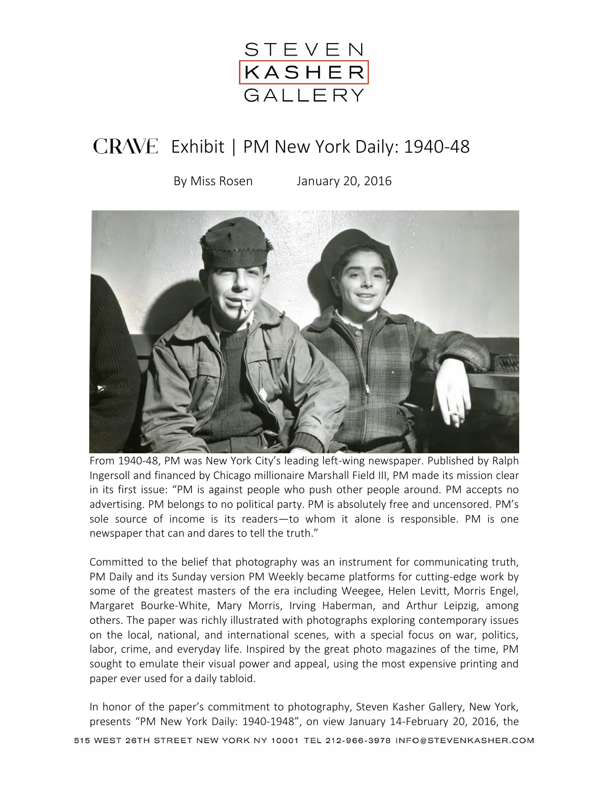

## CRAVE Exhibit | PM New York Daily: 1940-48

By Miss Rosen January 20, 2016



From 1940-48, PM was New York City's leading left-wing newspaper. Published by Ralph Ingersoll and financed by Chicago millionaire Marshall Field III, PM made its mission clear in its first issue: "PM is against people who push other people around. PM accepts no advertising. PM belongs to no political party. PM is absolutely free and uncensored. PM's sole source of income is its readers—to whom it alone is responsible. PM is one newspaper that can and dares to tell the truth."

Committed to the belief that photography was an instrument for communicating truth, PM Daily and its Sunday version PM Weekly became platforms for cutting-edge work by some of the greatest masters of the era including Weegee, Helen Levitt, Morris Engel, Margaret Bourke-White, Mary Morris, Irving Haberman, and Arthur Leipzig, among others. The paper was richly illustrated with photographs exploring contemporary issues on the local, national, and international scenes, with a special focus on war, politics, labor, crime, and everyday life. Inspired by the great photo magazines of the time, PM sought to emulate their visual power and appeal, using the most expensive printing and paper ever used for a daily tabloid.

In honor of the paper's commitment to photography, Steven Kasher Gallery, New York, presents "PM New York Daily: 1940-1948", on view January 14-February 20, 2016, the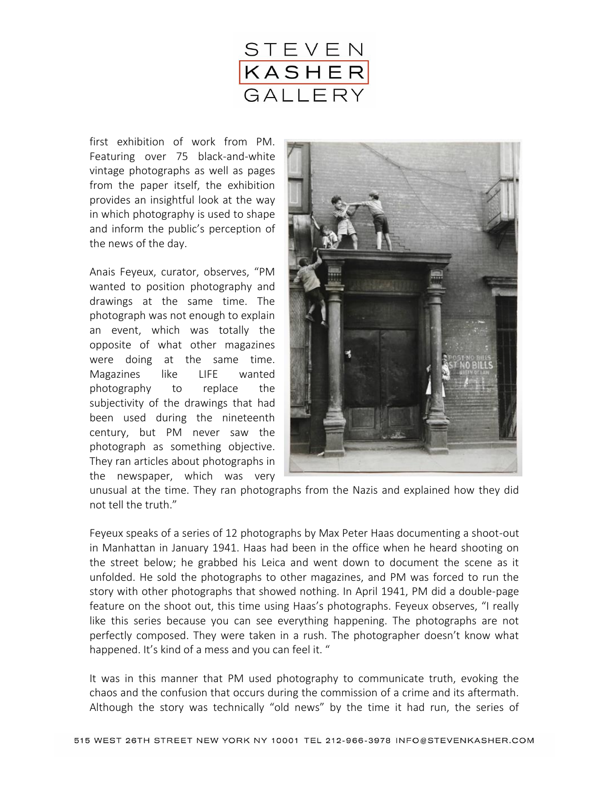

first exhibition of work from PM. Featuring over 75 black-and-white vintage photographs as well as pages from the paper itself, the exhibition provides an insightful look at the way in which photography is used to shape and inform the public's perception of the news of the day.

Anais Feyeux, curator, observes, "PM wanted to position photography and drawings at the same time. The photograph was not enough to explain an event, which was totally the opposite of what other magazines were doing at the same time. Magazines like LIFE wanted photography to replace the subjectivity of the drawings that had been used during the nineteenth century, but PM never saw the photograph as something objective. They ran articles about photographs in the newspaper, which was very



unusual at the time. They ran photographs from the Nazis and explained how they did not tell the truth."

Feyeux speaks of a series of 12 photographs by Max Peter Haas documenting a shoot-out in Manhattan in January 1941. Haas had been in the office when he heard shooting on the street below; he grabbed his Leica and went down to document the scene as it unfolded. He sold the photographs to other magazines, and PM was forced to run the story with other photographs that showed nothing. In April 1941, PM did a double-page feature on the shoot out, this time using Haas's photographs. Feyeux observes, "I really like this series because you can see everything happening. The photographs are not perfectly composed. They were taken in a rush. The photographer doesn't know what happened. It's kind of a mess and you can feel it. "

It was in this manner that PM used photography to communicate truth, evoking the chaos and the confusion that occurs during the commission of a crime and its aftermath. Although the story was technically "old news" by the time it had run, the series of